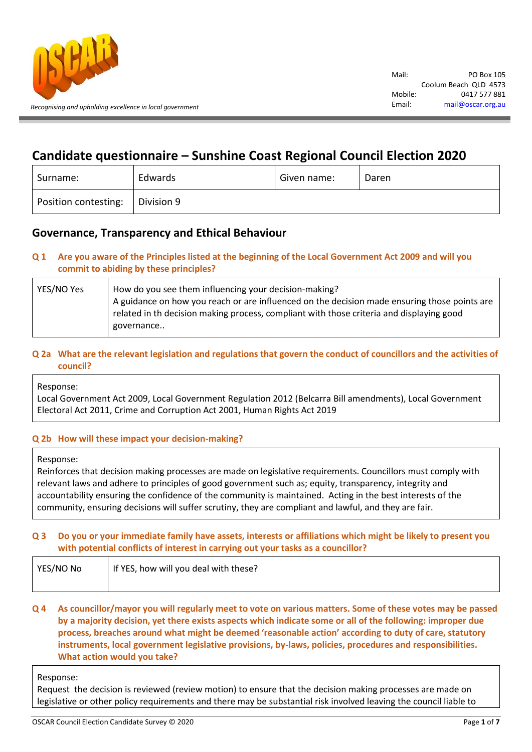

# **Candidate questionnaire – Sunshine Coast Regional Council Election 2020**

| Surname:             | Edwards    | Given name: | Daren |
|----------------------|------------|-------------|-------|
| Position contesting: | Division 9 |             |       |

## **Governance, Transparency and Ethical Behaviour**

## **Q 1 Are you aware of the Principles listed at the beginning of the Local Government Act 2009 and will you commit to abiding by these principles?**

| YES/NO Yes | How do you see them influencing your decision-making?                                        |
|------------|----------------------------------------------------------------------------------------------|
|            | A guidance on how you reach or are influenced on the decision made ensuring those points are |
|            | related in th decision making process, compliant with those criteria and displaying good     |
|            | governance                                                                                   |
|            |                                                                                              |

## **Q 2a What are the relevant legislation and regulations that govern the conduct of councillors and the activities of council?**

Response:

Local Government Act 2009, Local Government Regulation 2012 (Belcarra Bill amendments), Local Government Electoral Act 2011, Crime and Corruption Act 2001, Human Rights Act 2019

### **Q 2b How will these impact your decision-making?**

#### Response:

Reinforces that decision making processes are made on legislative requirements. Councillors must comply with relevant laws and adhere to principles of good government such as; equity, transparency, integrity and accountability ensuring the confidence of the community is maintained. Acting in the best interests of the community, ensuring decisions will suffer scrutiny, they are compliant and lawful, and they are fair.

### **Q 3 Do you or your immediate family have assets, interests or affiliations which might be likely to present you with potential conflicts of interest in carrying out your tasks as a councillor?**

| YES/NO No | If YES, how will you deal with these? |
|-----------|---------------------------------------|
|           |                                       |

#### **Q 4 As councillor/mayor you will regularly meet to vote on various matters. Some of these votes may be passed by a majority decision, yet there exists aspects which indicate some or all of the following: improper due process, breaches around what might be deemed 'reasonable action' according to duty of care, statutory instruments, local government legislative provisions, by-laws, policies, procedures and responsibilities. What action would you take?**

Response:

Request the decision is reviewed (review motion) to ensure that the decision making processes are made on legislative or other policy requirements and there may be substantial risk involved leaving the council liable to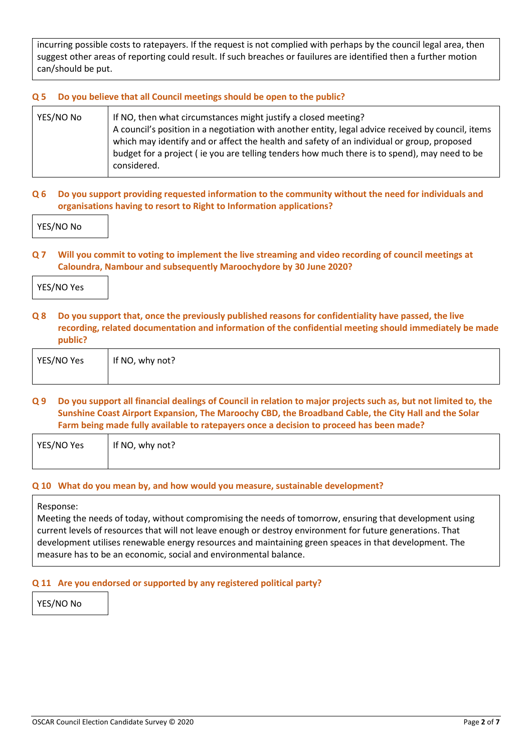incurring possible costs to ratepayers. If the request is not complied with perhaps by the council legal area, then suggest other areas of reporting could result. If such breaches or fauilures are identified then a further motion can/should be put.

## **Q 5 Do you believe that all Council meetings should be open to the public?**

| YES/NO No | If NO, then what circumstances might justify a closed meeting?                                     |
|-----------|----------------------------------------------------------------------------------------------------|
|           | A council's position in a negotiation with another entity, legal advice received by council, items |
|           | which may identify and or affect the health and safety of an individual or group, proposed         |
|           | budget for a project (ie you are telling tenders how much there is to spend), may need to be       |
|           | considered.                                                                                        |

### **Q 6 Do you support providing requested information to the community without the need for individuals and organisations having to resort to Right to Information applications?**

YES/NO No

**Q 7 Will you commit to voting to implement the live streaming and video recording of council meetings at Caloundra, Nambour and subsequently Maroochydore by 30 June 2020?**

|  | YES/NO Yes |  |  |  |  |  |
|--|------------|--|--|--|--|--|
|--|------------|--|--|--|--|--|

**Q 8 Do you support that, once the previously published reasons for confidentiality have passed, the live recording, related documentation and information of the confidential meeting should immediately be made public?**

| YES/NO Yes | If NO, why not? |
|------------|-----------------|
|            |                 |

## **Q 9 Do you support all financial dealings of Council in relation to major projects such as, but not limited to, the Sunshine Coast Airport Expansion, The Maroochy CBD, the Broadband Cable, the City Hall and the Solar Farm being made fully available to ratepayers once a decision to proceed has been made?**

| YES/NO Yes | If NO, why not? |
|------------|-----------------|
|            |                 |

### **Q 10 What do you mean by, and how would you measure, sustainable development?**

Response:

Meeting the needs of today, without compromising the needs of tomorrow, ensuring that development using current levels of resources that will not leave enough or destroy environment for future generations. That development utilises renewable energy resources and maintaining green speaces in that development. The measure has to be an economic, social and environmental balance.

### **Q 11 Are you endorsed or supported by any registered political party?**

YES/NO No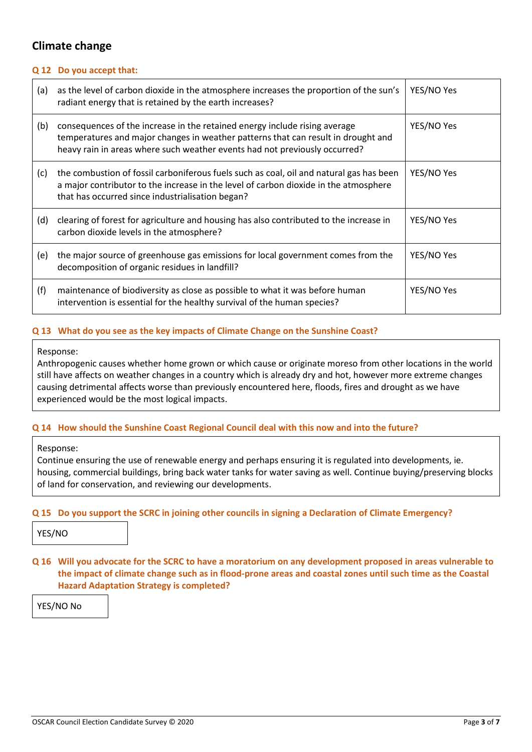## **Climate change**

#### **Q 12 Do you accept that:**

| (a) | as the level of carbon dioxide in the atmosphere increases the proportion of the sun's<br>radiant energy that is retained by the earth increases?                                                                                             | YES/NO Yes |
|-----|-----------------------------------------------------------------------------------------------------------------------------------------------------------------------------------------------------------------------------------------------|------------|
| (b) | consequences of the increase in the retained energy include rising average<br>temperatures and major changes in weather patterns that can result in drought and<br>heavy rain in areas where such weather events had not previously occurred? | YES/NO Yes |
| (c) | the combustion of fossil carboniferous fuels such as coal, oil and natural gas has been<br>a major contributor to the increase in the level of carbon dioxide in the atmosphere<br>that has occurred since industrialisation began?           | YES/NO Yes |
| (d) | clearing of forest for agriculture and housing has also contributed to the increase in<br>carbon dioxide levels in the atmosphere?                                                                                                            | YES/NO Yes |
| (e) | the major source of greenhouse gas emissions for local government comes from the<br>decomposition of organic residues in landfill?                                                                                                            | YES/NO Yes |
| (f) | maintenance of biodiversity as close as possible to what it was before human<br>intervention is essential for the healthy survival of the human species?                                                                                      | YES/NO Yes |

#### **Q 13 What do you see as the key impacts of Climate Change on the Sunshine Coast?**

#### Response:

Anthropogenic causes whether home grown or which cause or originate moreso from other locations in the world still have affects on weather changes in a country which is already dry and hot, however more extreme changes causing detrimental affects worse than previously encountered here, floods, fires and drought as we have experienced would be the most logical impacts.

### **Q 14 How should the Sunshine Coast Regional Council deal with this now and into the future?**

#### Response:

Continue ensuring the use of renewable energy and perhaps ensuring it is regulated into developments, ie. housing, commercial buildings, bring back water tanks for water saving as well. Continue buying/preserving blocks of land for conservation, and reviewing our developments.

#### **Q 15 Do you support the SCRC in joining other councils in signing a Declaration of Climate Emergency?**

YES/NO

## **Q 16 Will you advocate for the SCRC to have a moratorium on any development proposed in areas vulnerable to the impact of climate change such as in flood-prone areas and coastal zones until such time as the Coastal Hazard Adaptation Strategy is completed?**

YES/NO No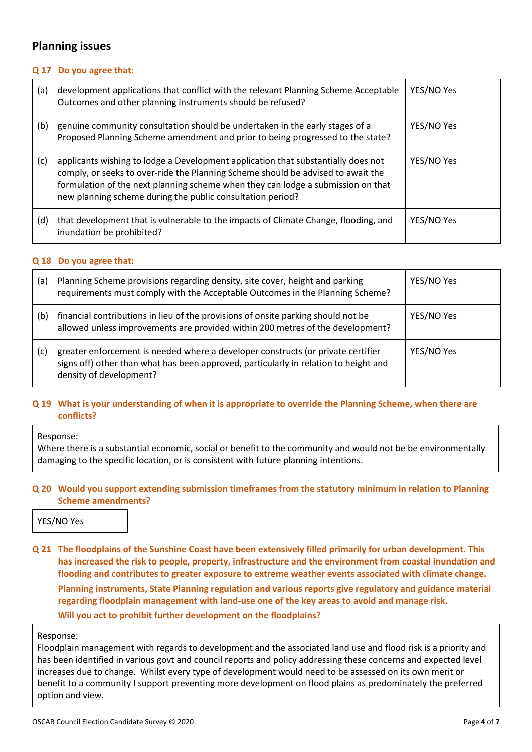## **Planning issues**

#### **Q 17 Do you agree that:**

| (a) | development applications that conflict with the relevant Planning Scheme Acceptable<br>Outcomes and other planning instruments should be refused?                                                                                                                                                                       | YES/NO Yes |
|-----|-------------------------------------------------------------------------------------------------------------------------------------------------------------------------------------------------------------------------------------------------------------------------------------------------------------------------|------------|
| (b) | genuine community consultation should be undertaken in the early stages of a<br>Proposed Planning Scheme amendment and prior to being progressed to the state?                                                                                                                                                          | YES/NO Yes |
| (c) | applicants wishing to lodge a Development application that substantially does not<br>comply, or seeks to over-ride the Planning Scheme should be advised to await the<br>formulation of the next planning scheme when they can lodge a submission on that<br>new planning scheme during the public consultation period? | YES/NO Yes |
| (d) | that development that is vulnerable to the impacts of Climate Change, flooding, and<br>inundation be prohibited?                                                                                                                                                                                                        | YES/NO Yes |

#### **Q 18 Do you agree that:**

| (a) | Planning Scheme provisions regarding density, site cover, height and parking<br>requirements must comply with the Acceptable Outcomes in the Planning Scheme?                                       | YES/NO Yes |
|-----|-----------------------------------------------------------------------------------------------------------------------------------------------------------------------------------------------------|------------|
| (b) | financial contributions in lieu of the provisions of onsite parking should not be<br>allowed unless improvements are provided within 200 metres of the development?                                 | YES/NO Yes |
| (c) | greater enforcement is needed where a developer constructs (or private certifier<br>signs off) other than what has been approved, particularly in relation to height and<br>density of development? | YES/NO Yes |

#### **Q 19 What is your understanding of when it is appropriate to override the Planning Scheme, when there are conflicts?**

#### Response:

Where there is a substantial economic, social or benefit to the community and would not be be environmentally damaging to the specific location, or is consistent with future planning intentions.

#### **Q 20 Would you support extending submission timeframes from the statutory minimum in relation to Planning Scheme amendments?**

YES/NO Yes

**Q 21 The floodplains of the Sunshine Coast have been extensively filled primarily for urban development. This has increased the risk to people, property, infrastructure and the environment from coastal inundation and flooding and contributes to greater exposure to extreme weather events associated with climate change.** 

**Planning instruments, State Planning regulation and various reports give regulatory and guidance material regarding floodplain management with land-use one of the key areas to avoid and manage risk.** 

**Will you act to prohibit further development on the floodplains?**

#### Response:

Floodplain management with regards to development and the associated land use and flood risk is a priority and has been identified in various govt and council reports and policy addressing these concerns and expected level increases due to change. Whilst every type of development would need to be assessed on its own merit or benefit to a community I support preventing more development on flood plains as predominately the preferred option and view.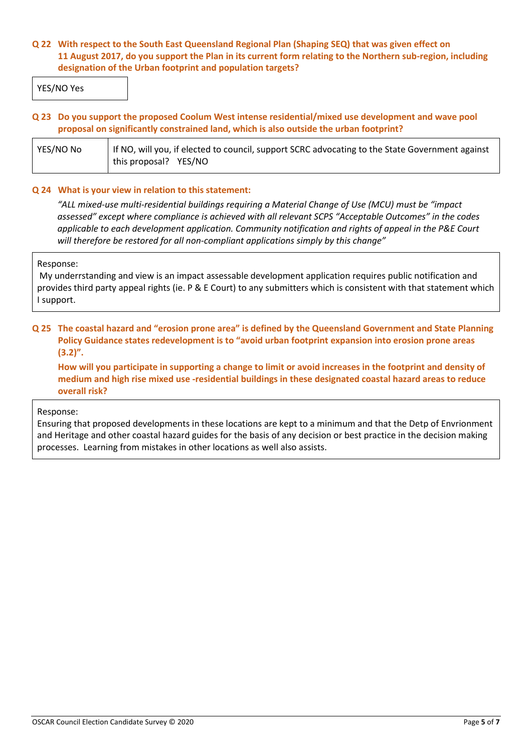#### **Q 22 With respect to the South East Queensland Regional Plan (Shaping SEQ) that was given effect on 11 August 2017, do you support the Plan in its current form relating to the Northern sub-region, including designation of the Urban footprint and population targets?**

YES/NO Yes

#### **Q 23 Do you support the proposed Coolum West intense residential/mixed use development and wave pool proposal on significantly constrained land, which is also outside the urban footprint?**

| YES/NO No | If NO, will you, if elected to council, support SCRC advocating to the State Government against |
|-----------|-------------------------------------------------------------------------------------------------|
|           | this proposal? YES/NO                                                                           |

#### **Q 24 What is your view in relation to this statement:**

*"ALL mixed-use multi-residential buildings requiring a Material Change of Use (MCU) must be "impact assessed" except where compliance is achieved with all relevant SCPS "Acceptable Outcomes" in the codes applicable to each development application. Community notification and rights of appeal in the P&E Court will therefore be restored for all non-compliant applications simply by this change"*

#### Response:

My underrstanding and view is an impact assessable development application requires public notification and provides third party appeal rights (ie. P & E Court) to any submitters which is consistent with that statement which I support.

#### **Q 25 The coastal hazard and "erosion prone area" is defined by the Queensland Government and State Planning Policy Guidance states redevelopment is to "avoid urban footprint expansion into erosion prone areas (3.2)".**

**How will you participate in supporting a change to limit or avoid increases in the footprint and density of medium and high rise mixed use -residential buildings in these designated coastal hazard areas to reduce overall risk?**

#### Response:

Ensuring that proposed developments in these locations are kept to a minimum and that the Detp of Envrionment and Heritage and other coastal hazard guides for the basis of any decision or best practice in the decision making processes. Learning from mistakes in other locations as well also assists.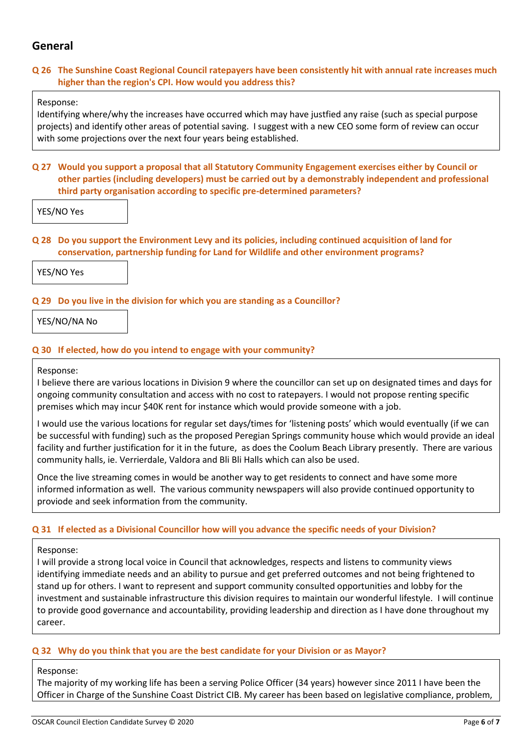## **General**

#### **Q 26 The Sunshine Coast Regional Council ratepayers have been consistently hit with annual rate increases much higher than the region's CPI. How would you address this?**

#### Response:

Identifying where/why the increases have occurred which may have justfied any raise (such as special purpose projects) and identify other areas of potential saving. I suggest with a new CEO some form of review can occur with some projections over the next four years being established.

#### **Q 27 Would you support a proposal that all Statutory Community Engagement exercises either by Council or other parties (including developers) must be carried out by a demonstrably independent and professional third party organisation according to specific pre-determined parameters?**

YES/NO Yes

#### **Q 28 Do you support the Environment Levy and its policies, including continued acquisition of land for conservation, partnership funding for Land for Wildlife and other environment programs?**

YES/NO Yes

### **Q 29 Do you live in the division for which you are standing as a Councillor?**

YES/NO/NA No

#### **Q 30 If elected, how do you intend to engage with your community?**

Response:

I believe there are various locations in Division 9 where the councillor can set up on designated times and days for ongoing community consultation and access with no cost to ratepayers. I would not propose renting specific premises which may incur \$40K rent for instance which would provide someone with a job.

I would use the various locations for regular set days/times for 'listening posts' which would eventually (if we can be successful with funding) such as the proposed Peregian Springs community house which would provide an ideal facility and further justification for it in the future, as does the Coolum Beach Library presently. There are various community halls, ie. Verrierdale, Valdora and Bli Bli Halls which can also be used.

Once the live streaming comes in would be another way to get residents to connect and have some more informed information as well. The various community newspapers will also provide continued opportunity to proviode and seek information from the community.

#### **Q 31 If elected as a Divisional Councillor how will you advance the specific needs of your Division?**

#### Response:

I will provide a strong local voice in Council that acknowledges, respects and listens to community views identifying immediate needs and an ability to pursue and get preferred outcomes and not being frightened to stand up for others. I want to represent and support community consulted opportunities and lobby for the investment and sustainable infrastructure this division requires to maintain our wonderful lifestyle. I will continue to provide good governance and accountability, providing leadership and direction as I have done throughout my career.

#### **Q 32 Why do you think that you are the best candidate for your Division or as Mayor?**

#### Response:

The majority of my working life has been a serving Police Officer (34 years) however since 2011 I have been the Officer in Charge of the Sunshine Coast District CIB. My career has been based on legislative compliance, problem,